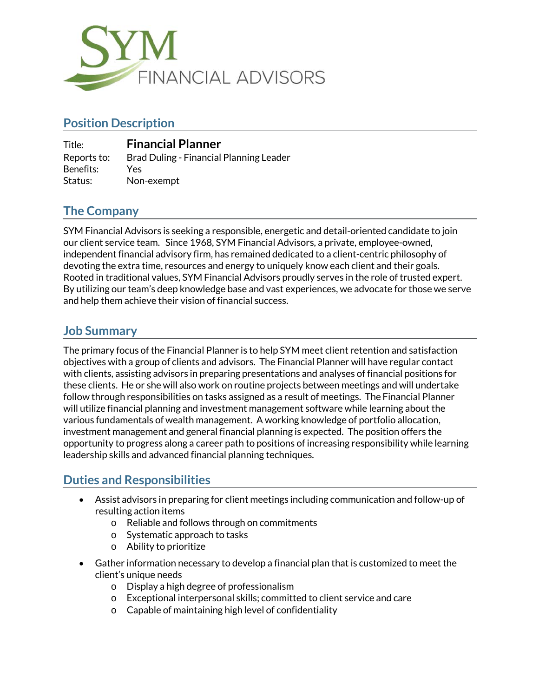

# **Position Description**

| Title:      | <b>Financial Planner</b>                |
|-------------|-----------------------------------------|
| Reports to: | Brad Duling - Financial Planning Leader |
| Benefits:   | Yes.                                    |
| Status:     | Non-exempt                              |

# **The Company**

SYM Financial Advisors is seeking a responsible, energetic and detail-oriented candidate to join our client service team. Since 1968, SYM Financial Advisors, a private, employee-owned, independent financial advisory firm, has remained dedicated to a client-centric philosophy of devoting the extra time, resources and energy to uniquely know each client and their goals. Rooted in traditional values, SYM Financial Advisors proudly serves in the role of trusted expert. By utilizing our team's deep knowledge base and vast experiences, we advocate for those we serve and help them achieve their vision of financial success.

### **Job Summary**

The primary focus of the Financial Planner is to help SYM meet client retention and satisfaction objectives with a group of clients and advisors. The Financial Planner will have regular contact with clients, assisting advisors in preparing presentations and analyses of financial positions for these clients. He or she will also work on routine projects between meetings and will undertake follow through responsibilities on tasks assigned as a result of meetings. The Financial Planner will utilize financial planning and investment management software while learning about the various fundamentals of wealth management. A working knowledge of portfolio allocation, investment management and general financial planning is expected. The position offers the opportunity to progress along a career path to positions of increasing responsibility while learning leadership skills and advanced financial planning techniques.

## **Duties and Responsibilities**

- Assist advisors in preparing for client meetings including communication and follow-up of resulting action items
	- o Reliable and follows through on commitments
	- o Systematic approach to tasks
	- o Ability to prioritize
- Gather information necessary to develop a financial plan that is customized to meet the client's unique needs
	- o Display a high degree of professionalism
	- o Exceptional interpersonal skills; committed to client service and care
	- o Capable of maintaining high level of confidentiality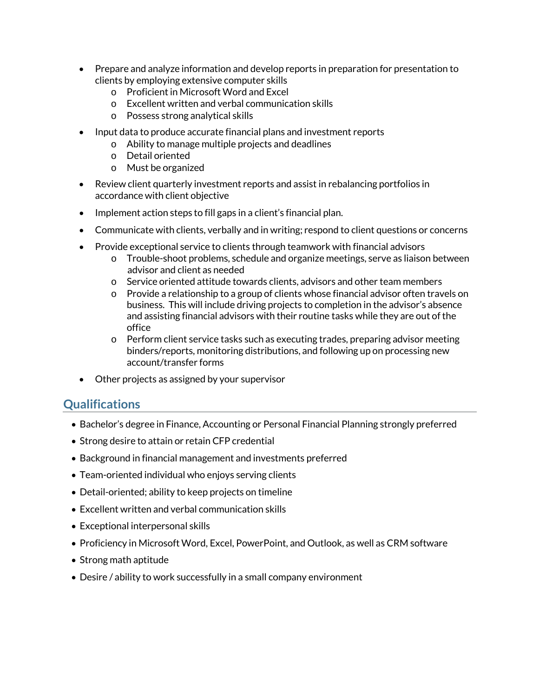- Prepare and analyze information and develop reports in preparation for presentation to clients by employing extensive computer skills
	- o Proficient in Microsoft Word and Excel
	- o Excellent written and verbal communication skills
	- o Possess strong analytical skills
- Input data to produce accurate financial plans and investment reports
	- o Ability to manage multiple projects and deadlines
	- o Detail oriented
	- o Must be organized
- Review client quarterly investment reports and assist in rebalancing portfolios in accordance with client objective
- Implement action steps to fill gaps in a client's financial plan.
- Communicate with clients, verbally and in writing; respond to client questions or concerns
- Provide exceptional service to clients through teamwork with financial advisors
	- o Trouble-shoot problems, schedule and organize meetings, serve as liaison between advisor and client as needed
	- o Service oriented attitude towards clients, advisors and other team members
	- $\circ$  Provide a relationship to a group of clients whose financial advisor often travels on business. This will include driving projects to completion in the advisor's absence and assisting financial advisors with their routine tasks while they are out of the office
	- $\circ$  Perform client service tasks such as executing trades, preparing advisor meeting binders/reports, monitoring distributions, and following up on processing new account/transfer forms
- Other projects as assigned by your supervisor

#### **Qualifications**

- Bachelor's degree in Finance, Accounting or Personal Financial Planning strongly preferred
- Strong desire to attain or retain CFP credential
- Background in financial management and investments preferred
- Team-oriented individual who enjoys serving clients
- Detail-oriented; ability to keep projects on timeline
- Excellent written and verbal communication skills
- Exceptional interpersonal skills
- Proficiency in Microsoft Word, Excel, PowerPoint, and Outlook, as well as CRM software
- Strong math aptitude
- Desire / ability to work successfully in a small company environment